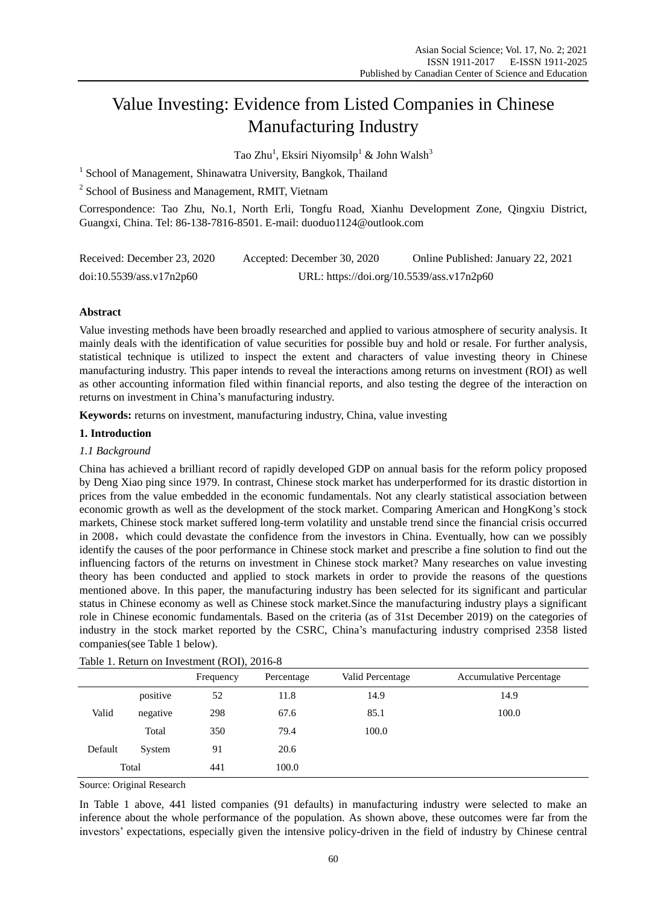# Value Investing: Evidence from Listed Companies in Chinese Manufacturing Industry

Tao Zhu $^{\rm l}$ , Eksiri Niyomsilp $^{\rm l}$  & John Walsh $^{\rm 3}$ 

<sup>1</sup> School of Management, Shinawatra University, Bangkok, Thailand

<sup>2</sup> School of Business and Management, RMIT, Vietnam

Correspondence: Tao Zhu, No.1, North Erli, Tongfu Road, Xianhu Development Zone, Qingxiu District, Guangxi, China. Tel: 86-138-7816-8501. E-mail: duoduo1124@outlook.com

| Received: December 23, 2020 | Accepted: December 30, 2020               | Online Published: January 22, 2021 |
|-----------------------------|-------------------------------------------|------------------------------------|
| doi:10.5539/ass.v17n2p60    | URL: https://doi.org/10.5539/ass.v17n2p60 |                                    |

# **Abstract**

Value investing methods have been broadly researched and applied to various atmosphere of security analysis. It mainly deals with the identification of value securities for possible buy and hold or resale. For further analysis, statistical technique is utilized to inspect the extent and characters of value investing theory in Chinese manufacturing industry. This paper intends to reveal the interactions among returns on investment (ROI) as well as other accounting information filed within financial reports, and also testing the degree of the interaction on returns on investment in China's manufacturing industry.

**Keywords:** returns on investment, manufacturing industry, China, value investing

## **1. Introduction**

# *1.1 Background*

China has achieved a brilliant record of rapidly developed GDP on annual basis for the reform policy proposed by Deng Xiao ping since 1979. In contrast, Chinese stock market has underperformed for its drastic distortion in prices from the value embedded in the economic fundamentals. Not any clearly statistical association between economic growth as well as the development of the stock market. Comparing American and HongKong's stock markets, Chinese stock market suffered long-term volatility and unstable trend since the financial crisis occurred in 2008, which could devastate the confidence from the investors in China. Eventually, how can we possibly identify the causes of the poor performance in Chinese stock market and prescribe a fine solution to find out the influencing factors of the returns on investment in Chinese stock market? Many researches on value investing theory has been conducted and applied to stock markets in order to provide the reasons of the questions mentioned above. In this paper, the manufacturing industry has been selected for its significant and particular status in Chinese economy as well as Chinese stock market.Since the manufacturing industry plays a significant role in Chinese economic fundamentals. Based on the criteria (as of 31st December 2019) on the categories of industry in the stock market reported by the CSRC, China's manufacturing industry comprised 2358 listed companies(see Table 1 below).

|         |          | Frequency | Percentage | Valid Percentage | <b>Accumulative Percentage</b> |
|---------|----------|-----------|------------|------------------|--------------------------------|
|         | positive | 52        | 11.8       | 14.9             | 14.9                           |
| Valid   | negative | 298       | 67.6       | 85.1             | 100.0                          |
|         | Total    | 350       | 79.4       | 100.0            |                                |
| Default | System   | 91        | 20.6       |                  |                                |
|         | Total    | 441       | 100.0      |                  |                                |

|  | Table 1. Return on Investment (ROI), 2016-8 |  |  |
|--|---------------------------------------------|--|--|
|--|---------------------------------------------|--|--|

Source: Original Research

In Table 1 above, 441 listed companies (91 defaults) in manufacturing industry were selected to make an inference about the whole performance of the population. As shown above, these outcomes were far from the investors' expectations, especially given the intensive policy-driven in the field of industry by Chinese central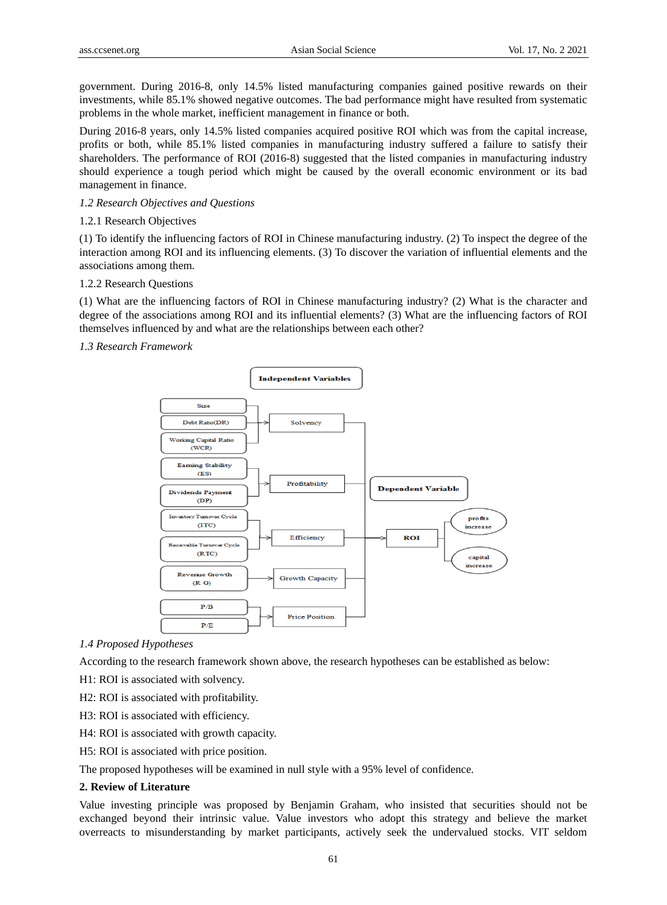government. During 2016-8, only 14.5% listed manufacturing companies gained positive rewards on their investments, while 85.1% showed negative outcomes. The bad performance might have resulted from systematic problems in the whole market, inefficient management in finance or both.

During 2016-8 years, only 14.5% listed companies acquired positive ROI which was from the capital increase, profits or both, while 85.1% listed companies in manufacturing industry suffered a failure to satisfy their shareholders. The performance of ROI (2016-8) suggested that the listed companies in manufacturing industry should experience a tough period which might be caused by the overall economic environment or its bad management in finance.

# *1.2 Research Objectives and Questions*

# 1.2.1 Research Objectives

(1) To identify the influencing factors of ROI in Chinese manufacturing industry. (2) To inspect the degree of the interaction among ROI and its influencing elements. (3) To discover the variation of influential elements and the associations among them.

#### 1.2.2 Research Questions

(1) What are the influencing factors of ROI in Chinese manufacturing industry? (2) What is the character and degree of the associations among ROI and its influential elements? (3) What are the influencing factors of ROI themselves influenced by and what are the relationships between each other?

## *1.3 Research Framework*



#### *1.4 Proposed Hypotheses*

According to the research framework shown above, the research hypotheses can be established as below:

H1: ROI is associated with solvency.

- H2: ROI is associated with profitability.
- H3: ROI is associated with efficiency.
- H4: ROI is associated with growth capacity.
- H5: ROI is associated with price position.

The proposed hypotheses will be examined in null style with a 95% level of confidence.

#### **2. Review of Literature**

Value investing principle was proposed by Benjamin Graham, who insisted that securities should not be exchanged beyond their intrinsic value. Value investors who adopt this strategy and believe the market overreacts to misunderstanding by market participants, actively seek the undervalued stocks. VIT seldom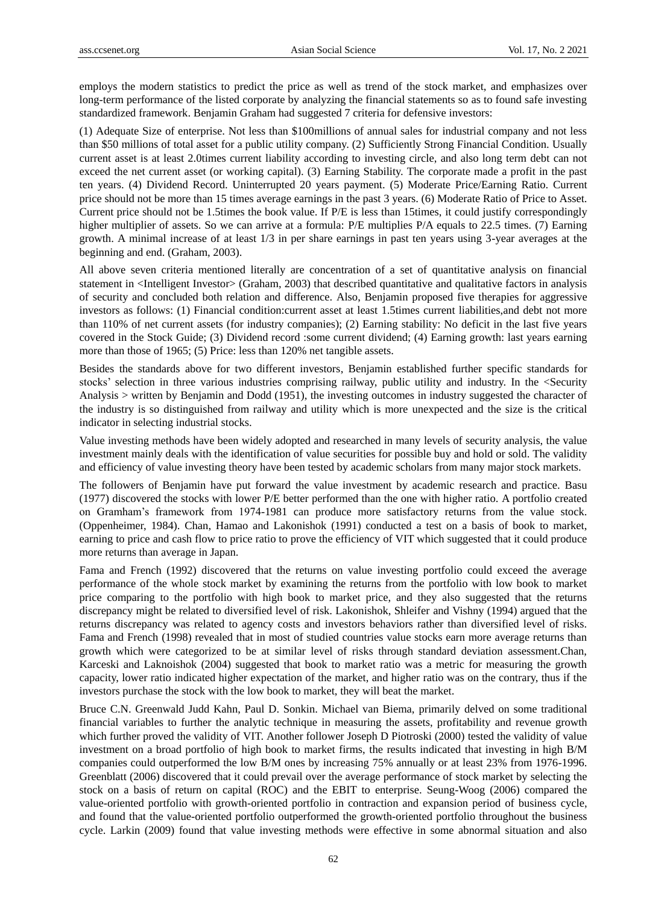employs the modern statistics to predict the price as well as trend of the stock market, and emphasizes over long-term performance of the listed corporate by analyzing the financial statements so as to found safe investing standardized framework. Benjamin Graham had suggested 7 criteria for defensive investors:

(1) Adequate Size of enterprise. Not less than \$100millions of annual sales for industrial company and not less than \$50 millions of total asset for a public utility company. (2) Sufficiently Strong Financial Condition. Usually current asset is at least 2.0times current liability according to investing circle, and also long term debt can not exceed the net current asset (or working capital). (3) Earning Stability. The corporate made a profit in the past ten years. (4) Dividend Record. Uninterrupted 20 years payment. (5) Moderate Price/Earning Ratio. Current price should not be more than 15 times average earnings in the past 3 years. (6) Moderate Ratio of Price to Asset. Current price should not be 1.5times the book value. If P/E is less than 15times, it could justify correspondingly higher multiplier of assets. So we can arrive at a formula: P/E multiplies P/A equals to 22.5 times. (7) Earning growth. A minimal increase of at least 1/3 in per share earnings in past ten years using 3-year averages at the beginning and end. (Graham, 2003).

All above seven criteria mentioned literally are concentration of a set of quantitative analysis on financial statement in <Intelligent Investor> (Graham, 2003) that described quantitative and qualitative factors in analysis of security and concluded both relation and difference. Also, Benjamin proposed five therapies for aggressive investors as follows: (1) Financial condition:current asset at least 1.5times current liabilities,and debt not more than 110% of net current assets (for industry companies); (2) Earning stability: No deficit in the last five years covered in the Stock Guide; (3) Dividend record :some current dividend; (4) Earning growth: last years earning more than those of 1965; (5) Price: less than 120% net tangible assets.

Besides the standards above for two different investors, Benjamin established further specific standards for stocks' selection in three various industries comprising railway, public utility and industry. In the <Security Analysis > written by Benjamin and Dodd (1951), the investing outcomes in industry suggested the character of the industry is so distinguished from railway and utility which is more unexpected and the size is the critical indicator in selecting industrial stocks.

Value investing methods have been widely adopted and researched in many levels of security analysis, the value investment mainly deals with the identification of value securities for possible buy and hold or sold. The validity and efficiency of value investing theory have been tested by academic scholars from many major stock markets.

The followers of Benjamin have put forward the value investment by academic research and practice. Basu (1977) discovered the stocks with lower P/E better performed than the one with higher ratio. A portfolio created on Gramham's framework from 1974-1981 can produce more satisfactory returns from the value stock. (Oppenheimer, 1984). Chan, Hamao and Lakonishok (1991) conducted a test on a basis of book to market, earning to price and cash flow to price ratio to prove the efficiency of VIT which suggested that it could produce more returns than average in Japan.

Fama and French (1992) discovered that the returns on value investing portfolio could exceed the average performance of the whole stock market by examining the returns from the portfolio with low book to market price comparing to the portfolio with high book to market price, and they also suggested that the returns discrepancy might be related to diversified level of risk. Lakonishok, Shleifer and Vishny (1994) argued that the returns discrepancy was related to agency costs and investors behaviors rather than diversified level of risks. Fama and French (1998) revealed that in most of studied countries value stocks earn more average returns than growth which were categorized to be at similar level of risks through standard deviation assessment.Chan, Karceski and Laknoishok (2004) suggested that book to market ratio was a metric for measuring the growth capacity, lower ratio indicated higher expectation of the market, and higher ratio was on the contrary, thus if the investors purchase the stock with the low book to market, they will beat the market.

Bruce C.N. Greenwald Judd Kahn, Paul D. Sonkin. Michael van Biema, primarily delved on some traditional financial variables to further the analytic technique in measuring the assets, profitability and revenue growth which further proved the validity of VIT. Another follower Joseph D Piotroski (2000) tested the validity of value investment on a broad portfolio of high book to market firms, the results indicated that investing in high B/M companies could outperformed the low B/M ones by increasing 75% annually or at least 23% from 1976-1996. Greenblatt (2006) discovered that it could prevail over the average performance of stock market by selecting the stock on a basis of return on capital (ROC) and the EBIT to enterprise. Seung-Woog (2006) compared the value-oriented portfolio with growth-oriented portfolio in contraction and expansion period of business cycle, and found that the value-oriented portfolio outperformed the growth-oriented portfolio throughout the business cycle. Larkin (2009) found that value investing methods were effective in some abnormal situation and also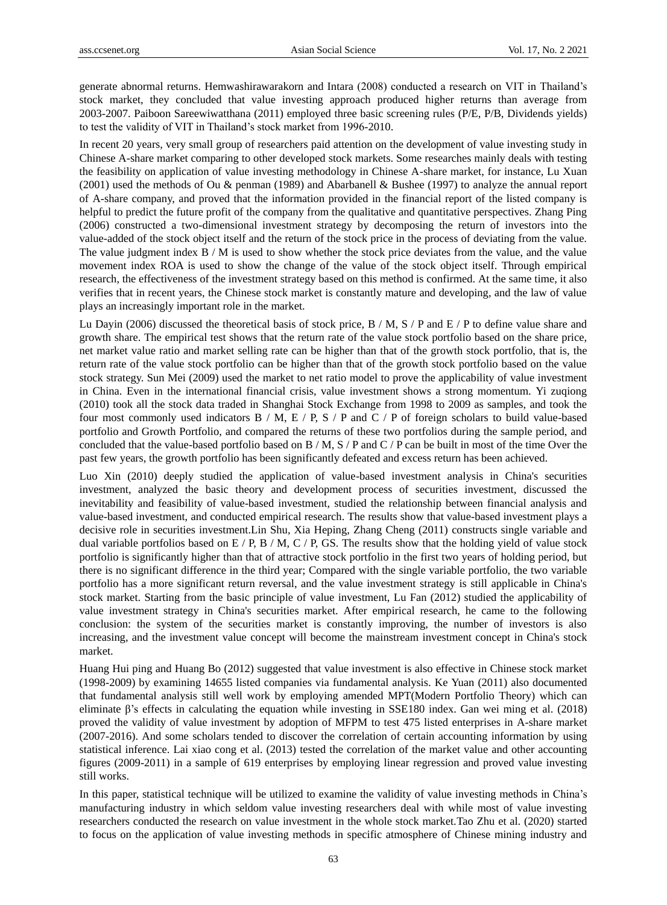generate abnormal returns. Hemwashirawarakorn and Intara (2008) conducted a research on VIT in Thailand's stock market, they concluded that value investing approach produced higher returns than average from 2003-2007. Paiboon Sareewiwatthana (2011) employed three basic screening rules (P/E, P/B, Dividends yields) to test the validity of VIT in Thailand's stock market from 1996-2010.

In recent 20 years, very small group of researchers paid attention on the development of value investing study in Chinese A-share market comparing to other developed stock markets. Some researches mainly deals with testing the feasibility on application of value investing methodology in Chinese A-share market, for instance, Lu Xuan (2001) used the methods of Ou & penman (1989) and Abarbanell & Bushee (1997) to analyze the annual report of A-share company, and proved that the information provided in the financial report of the listed company is helpful to predict the future profit of the company from the qualitative and quantitative perspectives. Zhang Ping (2006) constructed a two-dimensional investment strategy by decomposing the return of investors into the value-added of the stock object itself and the return of the stock price in the process of deviating from the value. The value judgment index B / M is used to show whether the stock price deviates from the value, and the value movement index ROA is used to show the change of the value of the stock object itself. Through empirical research, the effectiveness of the investment strategy based on this method is confirmed. At the same time, it also verifies that in recent years, the Chinese stock market is constantly mature and developing, and the law of value plays an increasingly important role in the market.

Lu Dayin (2006) discussed the theoretical basis of stock price, B / M, S / P and E / P to define value share and growth share. The empirical test shows that the return rate of the value stock portfolio based on the share price, net market value ratio and market selling rate can be higher than that of the growth stock portfolio, that is, the return rate of the value stock portfolio can be higher than that of the growth stock portfolio based on the value stock strategy. Sun Mei (2009) used the market to net ratio model to prove the applicability of value investment in China. Even in the international financial crisis, value investment shows a strong momentum. Yi zuqiong (2010) took all the stock data traded in Shanghai Stock Exchange from 1998 to 2009 as samples, and took the four most commonly used indicators  $B / M$ ,  $E / P$ ,  $S / P$  and  $C / P$  of foreign scholars to build value-based portfolio and Growth Portfolio, and compared the returns of these two portfolios during the sample period, and concluded that the value-based portfolio based on B / M, S / P and C / P can be built in most of the time Over the past few years, the growth portfolio has been significantly defeated and excess return has been achieved.

Luo Xin (2010) deeply studied the application of value-based investment analysis in China's securities investment, analyzed the basic theory and development process of securities investment, discussed the inevitability and feasibility of value-based investment, studied the relationship between financial analysis and value-based investment, and conducted empirical research. The results show that value-based investment plays a decisive role in securities investment.Lin Shu, Xia Heping, Zhang Cheng (2011) constructs single variable and dual variable portfolios based on E / P, B / M, C / P, GS. The results show that the holding yield of value stock portfolio is significantly higher than that of attractive stock portfolio in the first two years of holding period, but there is no significant difference in the third year; Compared with the single variable portfolio, the two variable portfolio has a more significant return reversal, and the value investment strategy is still applicable in China's stock market. Starting from the basic principle of value investment, Lu Fan (2012) studied the applicability of value investment strategy in China's securities market. After empirical research, he came to the following conclusion: the system of the securities market is constantly improving, the number of investors is also increasing, and the investment value concept will become the mainstream investment concept in China's stock market.

Huang Hui ping and Huang Bo (2012) suggested that value investment is also effective in Chinese stock market (1998-2009) by examining 14655 listed companies via fundamental analysis. Ke Yuan (2011) also documented that fundamental analysis still well work by employing amended MPT(Modern Portfolio Theory) which can eliminate β's effects in calculating the equation while investing in SSE180 index. Gan wei ming et al. (2018) proved the validity of value investment by adoption of MFPM to test 475 listed enterprises in A-share market (2007-2016). And some scholars tended to discover the correlation of certain accounting information by using statistical inference. Lai xiao cong et al. (2013) tested the correlation of the market value and other accounting figures (2009-2011) in a sample of 619 enterprises by employing linear regression and proved value investing still works.

In this paper, statistical technique will be utilized to examine the validity of value investing methods in China's manufacturing industry in which seldom value investing researchers deal with while most of value investing researchers conducted the research on value investment in the whole stock market.Tao Zhu et al. (2020) started to focus on the application of value investing methods in specific atmosphere of Chinese mining industry and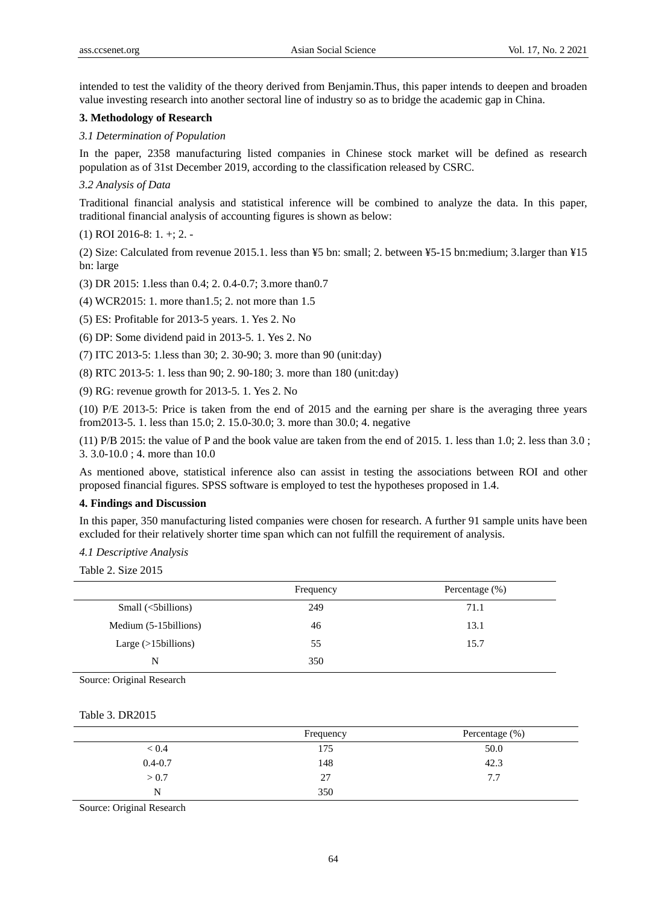intended to test the validity of the theory derived from Benjamin.Thus, this paper intends to deepen and broaden value investing research into another sectoral line of industry so as to bridge the academic gap in China.

# **3. Methodology of Research**

## *3.1 Determination of Population*

In the paper, 2358 manufacturing listed companies in Chinese stock market will be defined as research population as of 31st December 2019, according to the classification released by CSRC.

## *3.2 Analysis of Data*

Traditional financial analysis and statistical inference will be combined to analyze the data. In this paper, traditional financial analysis of accounting figures is shown as below:

(1) ROI 2016-8: 1. +; 2. -

(2) Size: Calculated from revenue 2015.1. less than ¥5 bn: small; 2. between ¥5-15 bn:medium; 3.larger than ¥15 bn: large

(3) DR 2015: 1.less than 0.4; 2. 0.4-0.7; 3.more than0.7

(4) WCR2015: 1. more than1.5; 2. not more than 1.5

(5) ES: Profitable for 2013-5 years. 1. Yes 2. No

(6) DP: Some dividend paid in 2013-5. 1. Yes 2. No

(7) ITC 2013-5: 1.less than 30; 2. 30-90; 3. more than 90 (unit:day)

(8) RTC 2013-5: 1. less than 90; 2. 90-180; 3. more than 180 (unit:day)

(9) RG: revenue growth for 2013-5. 1. Yes 2. No

(10) P/E 2013-5: Price is taken from the end of 2015 and the earning per share is the averaging three years from2013-5. 1. less than 15.0; 2. 15.0-30.0; 3. more than 30.0; 4. negative

(11) P/B 2015: the value of P and the book value are taken from the end of 2015. 1. less than 1.0; 2. less than 3.0 ; 3. 3.0-10.0 ; 4. more than 10.0

As mentioned above, statistical inference also can assist in testing the associations between ROI and other proposed financial figures. SPSS software is employed to test the hypotheses proposed in 1.4.

## **4. Findings and Discussion**

In this paper, 350 manufacturing listed companies were chosen for research. A further 91 sample units have been excluded for their relatively shorter time span which can not fulfill the requirement of analysis.

*4.1 Descriptive Analysis* 

Table 2. Size 2015

|                        | Frequency | Percentage $(\%)$ |
|------------------------|-----------|-------------------|
| Small (<5billions)     | 249       | 71.1              |
| Medium (5-15 billions) | 46        | 13.1              |
| Large $(>15$ billions) | 55        | 15.7              |
| N                      | 350       |                   |

Source: Original Research

Table 3. DR2015

|             | Frequency | Percentage (%) |
|-------------|-----------|----------------|
| < 0.4       | 175       | 50.0           |
| $0.4 - 0.7$ | 148       | 42.3           |
| > 0.7       | 27        | 7.7            |
| N           | 350       |                |

Source: Original Research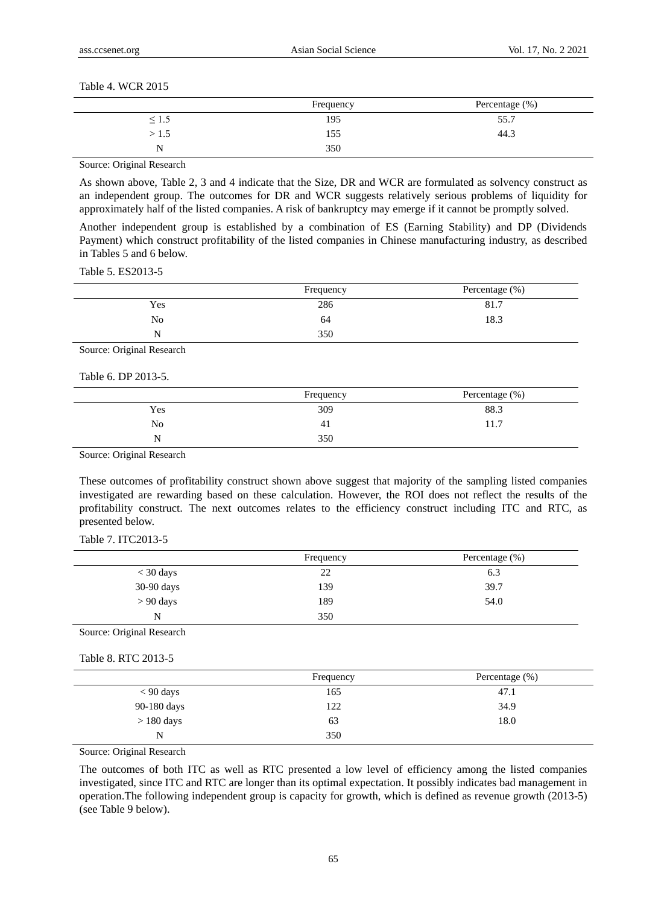#### Table 4. WCR 2015

|       | Frequency | Percentage (%) |
|-------|-----------|----------------|
| د.⊥ ≥ | 195       | 55.7           |
| >1.5  | 155       | 44.3           |
| N     | 350       |                |

Source: Original Research

As shown above, Table 2, 3 and 4 indicate that the Size, DR and WCR are formulated as solvency construct as an independent group. The outcomes for DR and WCR suggests relatively serious problems of liquidity for approximately half of the listed companies. A risk of bankruptcy may emerge if it cannot be promptly solved.

Another independent group is established by a combination of ES (Earning Stability) and DP (Dividends Payment) which construct profitability of the listed companies in Chinese manufacturing industry, as described in Tables 5 and 6 below.

Table 5. ES2013-5

|     | Frequency | Percentage (%) |
|-----|-----------|----------------|
| Yes | 286       | 81.7<br>-      |
| No  | 64        | 18.3           |
| N   | 350       |                |

Source: Original Research

Table 6. DP 2013-5.

|     | Frequency | Percentage (%) |
|-----|-----------|----------------|
| Yes | 309       | 88.3           |
| No  | -41       | 11.7           |
| N   | 350       |                |

Source: Original Research

These outcomes of profitability construct shown above suggest that majority of the sampling listed companies investigated are rewarding based on these calculation. However, the ROI does not reflect the results of the profitability construct. The next outcomes relates to the efficiency construct including ITC and RTC, as presented below.

Table 7. ITC2013-5

|             | Frequency | Percentage $(\%)$ |
|-------------|-----------|-------------------|
| $<$ 30 days | 22        | 6.3               |
| 30-90 days  | 139       | 39.7              |
| $> 90$ days | 189       | 54.0              |
| N           | 350       |                   |

Source: Original Research

Table 8. RTC 2013-5

|              | Frequency | Percentage (%) |
|--------------|-----------|----------------|
| $< 90$ days  | 165       | 47.1           |
| 90-180 days  | 122       | 34.9           |
| $> 180$ days | 63        | 18.0           |
| N            | 350       |                |

Source: Original Research

The outcomes of both ITC as well as RTC presented a low level of efficiency among the listed companies investigated, since ITC and RTC are longer than its optimal expectation. It possibly indicates bad management in operation.The following independent group is capacity for growth, which is defined as revenue growth (2013-5) (see Table 9 below).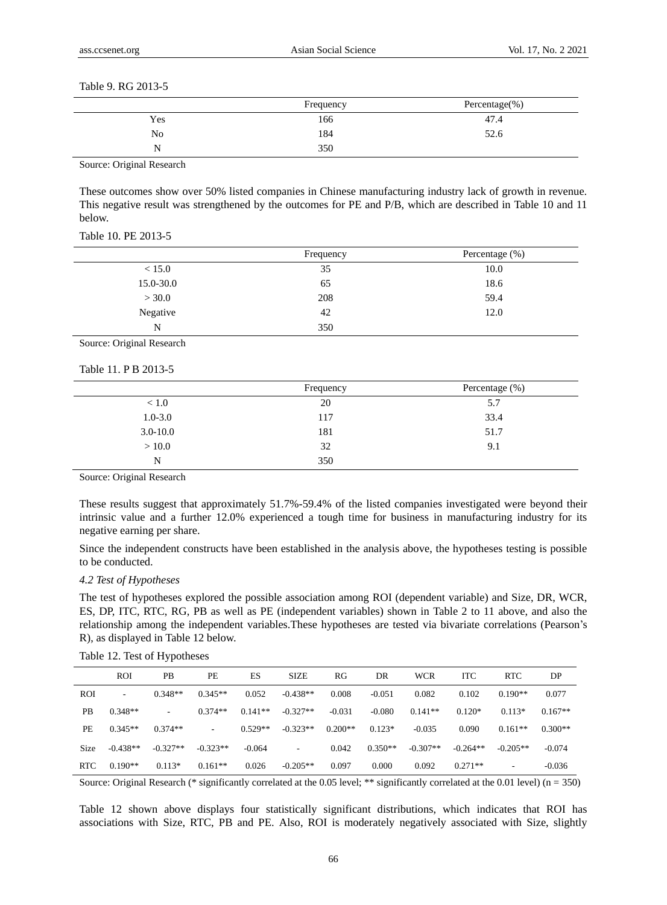#### Table 9. RG 2013-5

|     | Frequency | Percentage(%) |
|-----|-----------|---------------|
| Yes | 166       | 47.4          |
| No  | 184       | 52.6          |
| N   | 350       |               |

Source: Original Research

These outcomes show over 50% listed companies in Chinese manufacturing industry lack of growth in revenue. This negative result was strengthened by the outcomes for PE and P/B, which are described in Table 10 and 11 below.

Table 10. PE 2013-5

|           | Frequency | Percentage $(\%)$ |
|-----------|-----------|-------------------|
| < 15.0    | 35        | 10.0              |
| 15.0-30.0 | 65        | 18.6              |
| > 30.0    | 208       | 59.4              |
| Negative  | 42        | 12.0              |
| N         | 350       |                   |

Source: Original Research

## Table 11. P B 2013-5

|              | Frequency | Percentage (%) |  |  |  |
|--------------|-----------|----------------|--|--|--|
| < 1.0        | 20        | 5.7            |  |  |  |
| $1.0 - 3.0$  | 117       | 33.4           |  |  |  |
| $3.0 - 10.0$ | 181       | 51.7           |  |  |  |
| > 10.0       | 32        | 9.1            |  |  |  |
| N            | 350       |                |  |  |  |

Source: Original Research

These results suggest that approximately 51.7%-59.4% of the listed companies investigated were beyond their intrinsic value and a further 12.0% experienced a tough time for business in manufacturing industry for its negative earning per share.

Since the independent constructs have been established in the analysis above, the hypotheses testing is possible to be conducted.

#### *4.2 Test of Hypotheses*

The test of hypotheses explored the possible association among ROI (dependent variable) and Size, DR, WCR, ES, DP, ITC, RTC, RG, PB as well as PE (independent variables) shown in Table 2 to 11 above, and also the relationship among the independent variables.These hypotheses are tested via bivariate correlations (Pearson's R), as displayed in Table 12 below.

|  |  |  |  |  | Table 12. Test of Hypotheses |
|--|--|--|--|--|------------------------------|
|--|--|--|--|--|------------------------------|

|             | <b>ROI</b> | <b>PB</b>  | PE         | ES        | <b>SIZE</b>              | RG        | DR        | <b>WCR</b> | <b>ITC</b> | <b>RTC</b>               | DP        |
|-------------|------------|------------|------------|-----------|--------------------------|-----------|-----------|------------|------------|--------------------------|-----------|
| ROI         | ۰          | $0.348**$  | $0.345**$  | 0.052     | $-0.438**$               | 0.008     | $-0.051$  | 0.082      | 0.102      | $0.190**$                | 0.077     |
| PB.         | $0.348**$  | -          | $0.374**$  | $0.141**$ | $-0.327**$               | $-0.031$  | $-0.080$  | $0.141**$  | $0.120*$   | $0.113*$                 | $0.167**$ |
| PE          | $0.345**$  | $0.374**$  | $\sim$     | $0.529**$ | $-0.323**$               | $0.200**$ | $0.123*$  | $-0.035$   | 0.090      | $0.161**$                | $0.300**$ |
| <b>Size</b> | $-0.438**$ | $-0.327**$ | $-0.323**$ | $-0.064$  | $\overline{\phantom{a}}$ | 0.042     | $0.350**$ | $-0.307**$ | $-0.264**$ | $-0.205**$               | $-0.074$  |
| RTC         | $0.190**$  | $0.113*$   | $0.161**$  | 0.026     | $-0.205**$               | 0.097     | 0.000     | 0.092      | $0.271**$  | $\overline{\phantom{a}}$ | $-0.036$  |

Source: Original Research (\* significantly correlated at the 0.05 level; \*\* significantly correlated at the 0.01 level) (n = 350)

Table 12 shown above displays four statistically significant distributions, which indicates that ROI has associations with Size, RTC, PB and PE. Also, ROI is moderately negatively associated with Size, slightly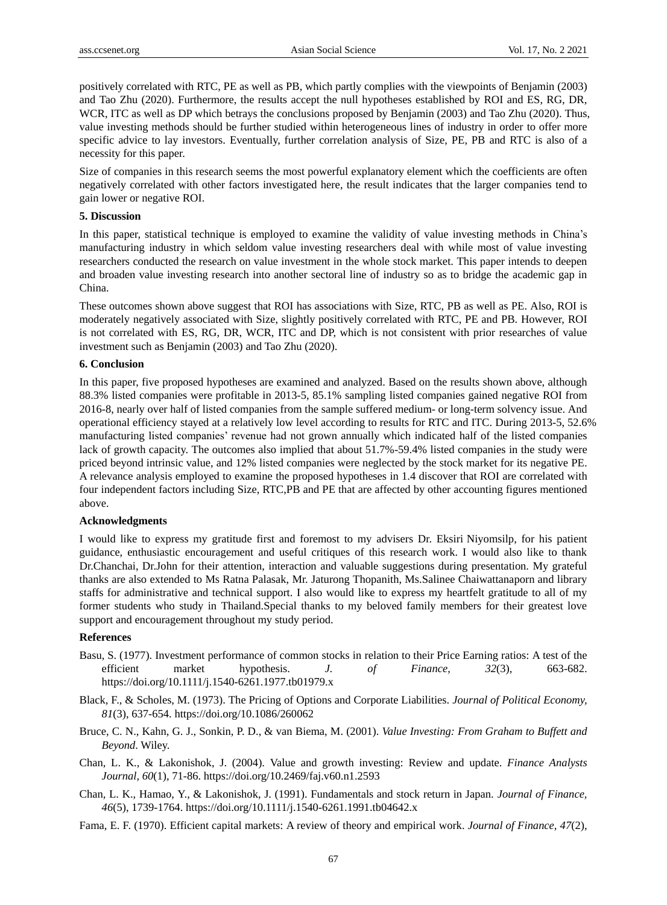positively correlated with RTC, PE as well as PB, which partly complies with the viewpoints of Benjamin (2003) and Tao Zhu (2020). Furthermore, the results accept the null hypotheses established by ROI and ES, RG, DR, WCR, ITC as well as DP which betrays the conclusions proposed by Benjamin (2003) and Tao Zhu (2020). Thus, value investing methods should be further studied within heterogeneous lines of industry in order to offer more specific advice to lay investors. Eventually, further correlation analysis of Size, PE, PB and RTC is also of a necessity for this paper.

Size of companies in this research seems the most powerful explanatory element which the coefficients are often negatively correlated with other factors investigated here, the result indicates that the larger companies tend to gain lower or negative ROI.

## **5. Discussion**

In this paper, statistical technique is employed to examine the validity of value investing methods in China's manufacturing industry in which seldom value investing researchers deal with while most of value investing researchers conducted the research on value investment in the whole stock market. This paper intends to deepen and broaden value investing research into another sectoral line of industry so as to bridge the academic gap in China.

These outcomes shown above suggest that ROI has associations with Size, RTC, PB as well as PE. Also, ROI is moderately negatively associated with Size, slightly positively correlated with RTC, PE and PB. However, ROI is not correlated with ES, RG, DR, WCR, ITC and DP, which is not consistent with prior researches of value investment such as Benjamin (2003) and Tao Zhu (2020).

## **6. Conclusion**

In this paper, five proposed hypotheses are examined and analyzed. Based on the results shown above, although 88.3% listed companies were profitable in 2013-5, 85.1% sampling listed companies gained negative ROI from 2016-8, nearly over half of listed companies from the sample suffered medium- or long-term solvency issue. And operational efficiency stayed at a relatively low level according to results for RTC and ITC. During 2013-5, 52.6% manufacturing listed companies' revenue had not grown annually which indicated half of the listed companies lack of growth capacity. The outcomes also implied that about 51.7%-59.4% listed companies in the study were priced beyond intrinsic value, and 12% listed companies were neglected by the stock market for its negative PE. A relevance analysis employed to examine the proposed hypotheses in 1.4 discover that ROI are correlated with four independent factors including Size, RTC,PB and PE that are affected by other accounting figures mentioned above.

#### **Acknowledgments**

I would like to express my gratitude first and foremost to my advisers Dr. Eksiri Niyomsilp, for his patient guidance, enthusiastic encouragement and useful critiques of this research work. I would also like to thank Dr.Chanchai, Dr.John for their attention, interaction and valuable suggestions during presentation. My grateful thanks are also extended to Ms Ratna Palasak, Mr. Jaturong Thopanith, Ms.Salinee Chaiwattanaporn and library staffs for administrative and technical support. I also would like to express my heartfelt gratitude to all of my former students who study in Thailand.Special thanks to my beloved family members for their greatest love support and encouragement throughout my study period.

## **References**

- Basu, S. (1977). Investment performance of common stocks in relation to their Price Earning ratios: A test of the efficient market hypothesis. *J. of Finance, 32*(3), 663-682. https://doi.org/10.1111/j.1540-6261.1977.tb01979.x
- Black, F., & Scholes, M. (1973). The Pricing of Options and Corporate Liabilities. *Journal of Political Economy, 81*(3), 637-654. https://doi.org/10.1086/260062
- Bruce, C. N., Kahn, G. J., Sonkin, P. D., & van Biema, M. (2001). *Value Investing: From Graham to Buffett and Beyond*. Wiley.
- Chan, L. K., & Lakonishok, J. (2004). Value and growth investing: Review and update. *Finance Analysts Journal, 60*(1), 71-86. https://doi.org/10.2469/faj.v60.n1.2593
- Chan, L. K., Hamao, Y., & Lakonishok, J. (1991). Fundamentals and stock return in Japan. *Journal of Finance, 46*(5), 1739-1764. https://doi.org/10.1111/j.1540-6261.1991.tb04642.x
- [Fama, E. F.](https://en.wikipedia.org/wiki/Eugene_Fama) (1970). Efficient capital markets: A review of theory and empirical work. *Journal of Finance, 47*(2),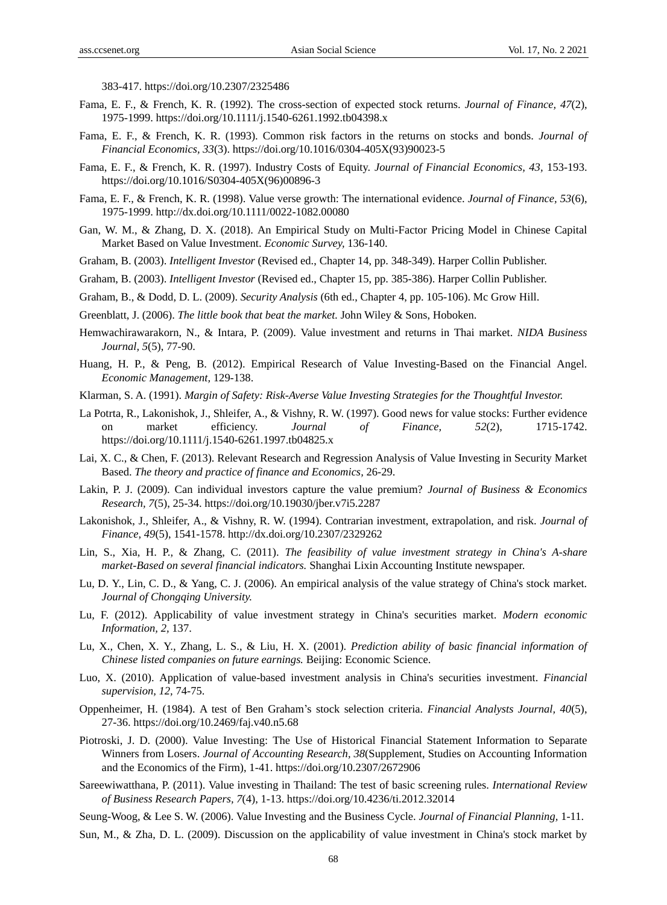383-417. https://doi.org/10.2307/2325486

- [Fama, E. F.,](https://en.wikipedia.org/wiki/Eugene_Fama) & [French, K. R.](https://en.wikipedia.org/wiki/Kenneth_French) (1992). The cross-section of expected stock returns. *Journal of Finance, 47*(2), 1975-1999. https://doi.org/10.1111/j.1540-6261.1992.tb04398.x
- [Fama, E. F.,](https://en.wikipedia.org/wiki/Eugene_Fama) & [French, K. R.](https://en.wikipedia.org/wiki/Kenneth_French) (1993). Common risk factors in the returns on stocks and bonds. *[Journal of](https://en.wikipedia.org/wiki/Journal_of_Financial_Economics)  [Financial Economics,](https://en.wikipedia.org/wiki/Journal_of_Financial_Economics) 33*(3). https://doi.org/10.1016/0304-405X(93)90023-5
- Fama, E. F., & French, K. R. (1997). Industry Costs of Equity. *Journal of Financial Economics, 43,* 153-193. https://doi.org/10.1016/S0304-405X(96)00896-3
- Fama, E. F., & French, K. R. (1998). Value verse growth: The international evidence. *Journal of Finance, 53*(6), 1975-1999. http://dx.doi.org/10.1111/0022-1082.00080
- Gan, W. M., & Zhang, D. X. (2018). An Empirical Study on Multi-Factor Pricing Model in Chinese Capital Market Based on Value Investment. *Economic Survey,* 136-140.
- Graham, B. (2003). *Intelligent Investor* (Revised ed., Chapter 14, pp. 348-349). Harper Collin Publisher.
- Graham, B. (2003). *Intelligent Investor* (Revised ed., Chapter 15, pp. 385-386). Harper Collin Publisher.
- Graham, B., & Dodd, D. L. (2009). *Security Analysis* (6th ed., Chapter 4, pp. 105-106). Mc Grow Hill.
- Greenblatt, J. (2006). *The little book that beat the market.* John Wiley & Sons, Hoboken.
- Hemwachirawarakorn, N., & Intara, P. (2009). Value investment and returns in Thai market. *NIDA Business Journal, 5*(5), 77-90.
- Huang, H. P., & Peng, B. (2012). Empirical Research of Value Investing-Based on the Financial Angel. *Economic Management,* 129-138.
- Klarman, S. A. (1991). *Margin of Safety: Risk-Averse Value Investing Strategies for the Thoughtful Investor.*
- La Potrta, R., Lakonishok, J., Shleifer, A., & Vishny, R. W. (1997). Good news for value stocks: Further evidence on market efficiency. *Journal of Finance, 52*(2), 1715-1742. https://doi.org/10.1111/j.1540-6261.1997.tb04825.x
- Lai, X. C., & Chen, F. (2013). Relevant Research and Regression Analysis of Value Investing in Security Market Based. *The theory and practice of finance and Economics,* 26-29.
- Lakin, P. J. (2009). Can individual investors capture the value premium? *Journal of Business & Economics Research, 7*(5), 25-34. https://doi.org/10.19030/jber.v7i5.2287
- Lakonishok, J., Shleifer, A., & Vishny, R. W. (1994). Contrarian investment, extrapolation, and risk. *Journal of Finance, 49*(5), 1541-1578. http://dx.doi.org/10.2307/2329262
- Lin, S., Xia, H. P., & Zhang, C. (2011). *The feasibility of value investment strategy in China's A-share market-Based on several financial indicators.* Shanghai Lixin Accounting Institute newspaper.
- Lu, D. Y., Lin, C. D., & Yang, C. J. (2006). An empirical analysis of the value strategy of China's stock market. *Journal of Chongqing University.*
- Lu, F. (2012). Applicability of value investment strategy in China's securities market. *Modern economic Information, 2,* 137.
- Lu, X., Chen, X. Y., Zhang, L. S., & Liu, H. X. (2001). *Prediction ability of basic financial information of Chinese listed companies on future earnings.* Beijing: Economic Science.
- Luo, X. (2010). Application of value-based investment analysis in China's securities investment. *Financial supervision, 12,* 74-75.
- Oppenheimer, H. (1984). A test of Ben Graham's stock selection criteria. *Financial Analysts Journal, 40*(5), 27-36. https://doi.org/10.2469/faj.v40.n5.68
- Piotroski, J. D. (2000). Value Investing: The Use of Historical Financial Statement Information to Separate Winners from Losers. *Journal of Accounting Research, 38*(Supplement, Studies on Accounting Information and the Economics of the Firm), 1-41. https://doi.org/10.2307/2672906
- Sareewiwatthana, P. (2011). Value investing in Thailand: The test of basic screening rules. *International Review of Business Research Papers, 7*(4), 1-13. https://doi.org/10.4236/ti.2012.32014
- Seung-Woog, & Lee S. W. (2006). Value Investing and the Business Cycle. *Journal of Financial Planning,* 1-11.
- Sun, M., & Zha, D. L. (2009). Discussion on the applicability of value investment in China's stock market by